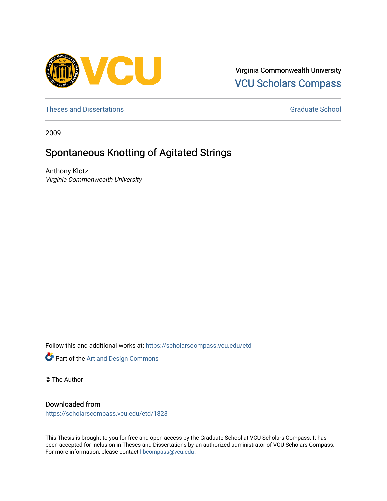

Virginia Commonwealth University [VCU Scholars Compass](https://scholarscompass.vcu.edu/) 

[Theses and Dissertations](https://scholarscompass.vcu.edu/etd) [Graduate School](https://scholarscompass.vcu.edu/gradschool) and Dissertations Graduate School and Dissertations Graduate School and Dissertations Graduate School and Dissertations Graduate School and Dissertations Graduate School and Dissert

2009

# Spontaneous Knotting of Agitated Strings

Anthony Klotz Virginia Commonwealth University

Follow this and additional works at: [https://scholarscompass.vcu.edu/etd](https://scholarscompass.vcu.edu/etd?utm_source=scholarscompass.vcu.edu%2Fetd%2F1823&utm_medium=PDF&utm_campaign=PDFCoverPages) 



© The Author

### Downloaded from

[https://scholarscompass.vcu.edu/etd/1823](https://scholarscompass.vcu.edu/etd/1823?utm_source=scholarscompass.vcu.edu%2Fetd%2F1823&utm_medium=PDF&utm_campaign=PDFCoverPages) 

This Thesis is brought to you for free and open access by the Graduate School at VCU Scholars Compass. It has been accepted for inclusion in Theses and Dissertations by an authorized administrator of VCU Scholars Compass. For more information, please contact [libcompass@vcu.edu](mailto:libcompass@vcu.edu).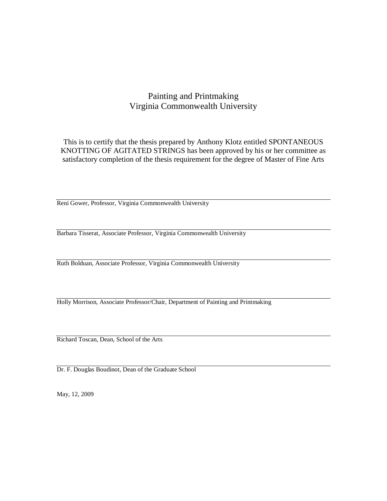### Painting and Printmaking Virginia Commonwealth University

This is to certify that the thesis prepared by Anthony Klotz entitled SPONTANEOUS KNOTTING OF AGITATED STRINGS has been approved by his or her committee as satisfactory completion of the thesis requirement for the degree of Master of Fine Arts

Reni Gower, Professor, Virginia Commonwealth University

Barbara Tisserat, Associate Professor, Virginia Commonwealth University

Ruth Bolduan, Associate Professor, Virginia Commonwealth University

Holly Morrison, Associate Professor/Chair, Department of Painting and Printmaking

Richard Toscan, Dean, School of the Arts

Dr. F. Douglas Boudinot, Dean of the Graduate School

May, 12, 2009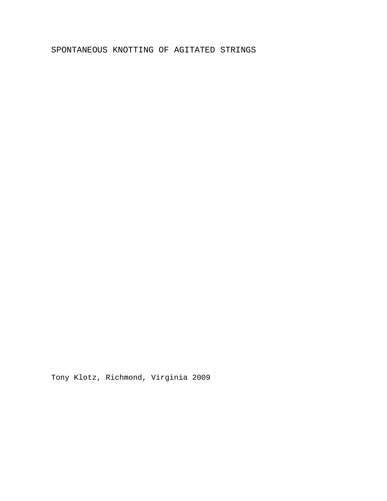### SPONTANEOUS KNOTTING OF AGITATED STRINGS

Tony Klotz, Richmond, Virginia 2009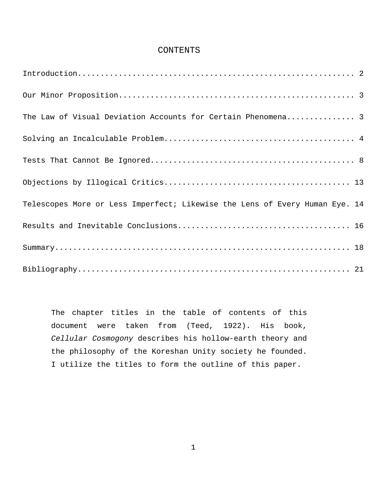#### CONTENTS

| The Law of Visual Deviation Accounts for Certain Phenomena 3                |
|-----------------------------------------------------------------------------|
|                                                                             |
|                                                                             |
|                                                                             |
| Telescopes More or Less Imperfect; Likewise the Lens of Every Human Eye. 14 |
|                                                                             |
|                                                                             |
|                                                                             |

The chapter titles in the table of contents of this document were taken from (Teed, 1922). His book, *Cellular Cosmogony* describes his hollow-earth theory and the philosophy of the Koreshan Unity society he founded. I utilize the titles to form the outline of this paper.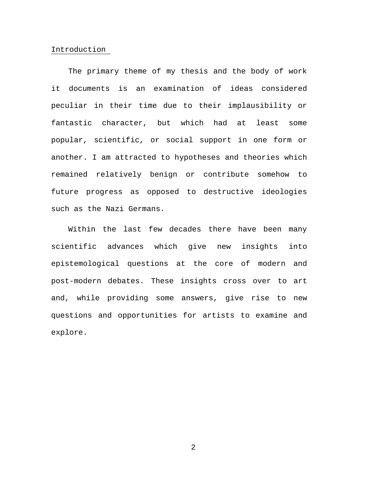#### <span id="page-4-0"></span>Introduction

The primary theme of my thesis and the body of work it documents is an examination of ideas considered peculiar in their time due to their implausibility or fantastic character, but which had at least some popular, scientific, or social support in one form or another. I am attracted to hypotheses and theories which remained relatively benign or contribute somehow to future progress as opposed to destructive ideologies such as the Nazi Germans.

Within the last few decades there have been many scientific advances which give new insights into epistemological questions at the core of modern and post-modern debates. These insights cross over to art and, while providing some answers, give rise to new questions and opportunities for artists to examine and explore.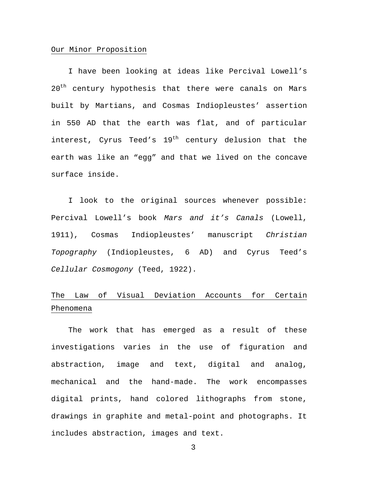#### <span id="page-5-0"></span>Our Minor Proposition

I have been looking at ideas like Percival Lowell's 20<sup>th</sup> century hypothesis that there were canals on Mars built by Martians, and Cosmas Indiopleustes' assertion in 550 AD that the earth was flat, and of particular interest, Cyrus Teed's  $19<sup>th</sup>$  century delusion that the earth was like an "egg" and that we lived on the concave surface inside.

I look to the original sources whenever possible: Percival Lowell's book *Mars and it's Canals* (Lowell, 1911), Cosmas Indiopleustes' manuscript *Christian Topography* (Indiopleustes, 6 AD) and Cyrus Teed's *Cellular Cosmogony* (Teed, 1922).

### <span id="page-5-1"></span>The Law of Visual Deviation Accounts for Certain Phenomena

The work that has emerged as a result of these investigations varies in the use of figuration and abstraction, image and text, digital and analog, mechanical and the hand-made. The work encompasses digital prints, hand colored lithographs from stone, drawings in graphite and metal-point and photographs. It includes abstraction, images and text.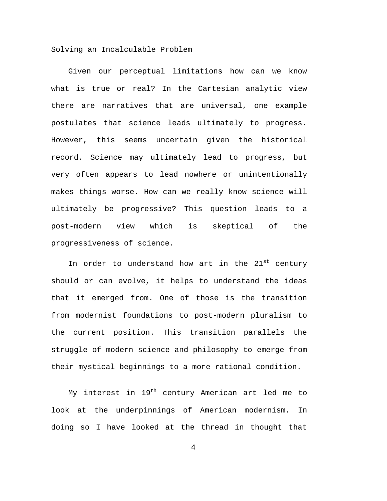#### <span id="page-6-0"></span>Solving an Incalculable Problem

Given our perceptual limitations how can we know what is true or real? In the Cartesian analytic view there are narratives that are universal, one example postulates that science leads ultimately to progress. However, this seems uncertain given the historical record. Science may ultimately lead to progress, but very often appears to lead nowhere or unintentionally makes things worse. How can we really know science will ultimately be progressive? This question leads to a post-modern view which is skeptical of the progressiveness of science.

In order to understand how art in the 21<sup>st</sup> century should or can evolve, it helps to understand the ideas that it emerged from. One of those is the transition from modernist foundations to post-modern pluralism to the current position. This transition parallels the struggle of modern science and philosophy to emerge from their mystical beginnings to a more rational condition.

My interest in  $19<sup>th</sup>$  century American art led me to look at the underpinnings of American modernism. In doing so I have looked at the thread in thought that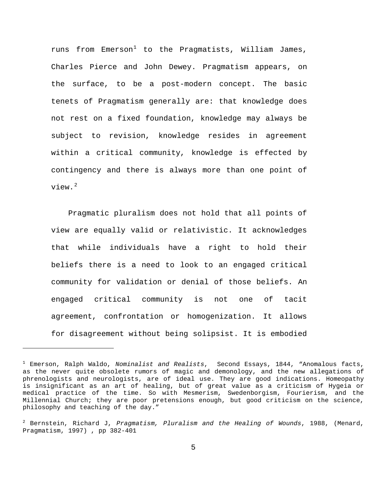runs from Emerson<sup>[1](#page-7-0)</sup> to the Pragmatists, William James, Charles Pierce and John Dewey. Pragmatism appears, on the surface, to be a post-modern concept. The basic tenets of Pragmatism generally are: that knowledge does not rest on a fixed foundation, knowledge may always be subject to revision, knowledge resides in agreement within a critical community, knowledge is effected by contingency and there is always more than one point of view.[2](#page-7-1)

Pragmatic pluralism does not hold that all points of view are equally valid or relativistic. It acknowledges that while individuals have a right to hold their beliefs there is a need to look to an engaged critical community for validation or denial of those beliefs. An engaged critical community is not one of tacit agreement, confrontation or homogenization. It allows for disagreement without being solipsist. It is embodied

<span id="page-7-0"></span><sup>1</sup> Emerson, Ralph Waldo, *Nominalist and Realists*, Second Essays, 1844, "Anomalous facts, as the never quite obsolete rumors of magic and demonology, and the new allegations of phrenologists and neurologists, are of ideal use. They are good indications. Homeopathy is insignificant as an art of healing, but of great value as a criticism of Hygeia or medical practice of the time. So with Mesmerism, Swedenborgism, Fourierism, and the Millennial Church; they are poor pretensions enough, but good criticism on the science, philosophy and teaching of the day."

<span id="page-7-1"></span><sup>2</sup> Bernstein, Richard J, *Pragmatism, Pluralism and the Healing of Wounds*, 1988, (Menard, Pragmatism, 1997) , pp 382-401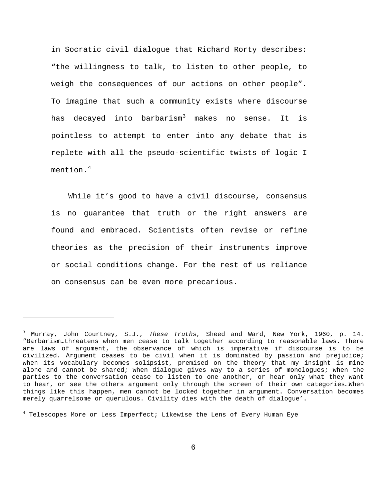in Socratic civil dialogue that Richard Rorty describes: "the willingness to talk, to listen to other people, to weigh the consequences of our actions on other people". To imagine that such a community exists where discourse has decayed into barbarism<sup>[3](#page-8-0)</sup> makes no sense. It is pointless to attempt to enter into any debate that is replete with all the pseudo-scientific twists of logic I mention. $4$ 

While it's good to have a civil discourse, consensus is no guarantee that truth or the right answers are found and embraced. Scientists often revise or refine theories as the precision of their instruments improve or social conditions change. For the rest of us reliance on consensus can be even more precarious.

<span id="page-8-1"></span><sup>4</sup> Telescopes More or Less Imperfect; Likewise the Lens of Every Human Eye

<span id="page-8-0"></span><sup>3</sup> Murray, John Courtney, S.J., *These Truths,* Sheed and Ward, New York, 1960, p. 14. "Barbarism…threatens when men cease to talk together according to reasonable laws. There are laws of argument, the observance of which is imperative if discourse is to be civilized. Argument ceases to be civil when it is dominated by passion and prejudice; when its vocabulary becomes solipsist, premised on the theory that my insight is mine alone and cannot be shared; when dialogue gives way to a series of monologues; when the parties to the conversation cease to listen to one another, or hear only what they want to hear, or see the others argument only through the screen of their own categories…When things like this happen, men cannot be locked together in argument. Conversation becomes merely quarrelsome or querulous. Civility dies with the death of dialogue'.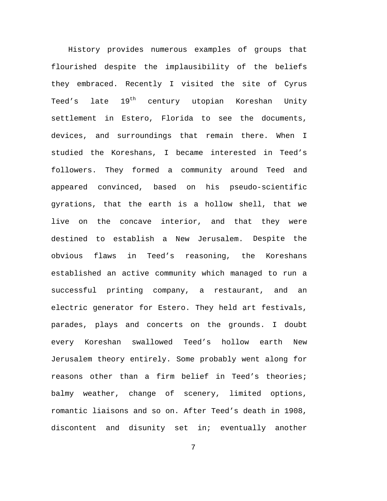History provides numerous examples of groups that flourished despite the implausibility of the beliefs they embraced. Recently I visited the site of Cyrus Teed's late 19<sup>th</sup> century utopian Koreshan Unity settlement in Estero, Florida to see the documents, devices, and surroundings that remain there. When I studied the Koreshans, I became interested in Teed's followers. They formed a community around Teed and appeared convinced, based on his pseudo-scientific gyrations, that the earth is a hollow shell, that we live on the concave interior, and that they were destined to establish a New Jerusalem. Despite the obvious flaws in Teed's reasoning, the Koreshans established an active community which managed to run a successful printing company, a restaurant, and an electric generator for Estero. They held art festivals, parades, plays and concerts on the grounds. I doubt every Koreshan swallowed Teed's hollow earth New Jerusalem theory entirely. Some probably went along for reasons other than a firm belief in Teed's theories; balmy weather, change of scenery, limited options, romantic liaisons and so on. After Teed's death in 1908, discontent and disunity set in; eventually another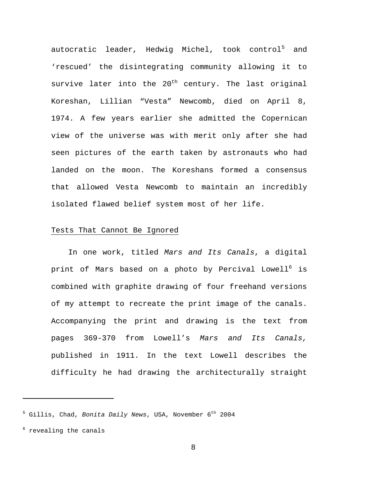autocratic leader, Hedwig Michel, took control<sup>[5](#page-10-1)</sup> and 'rescued' the disintegrating community allowing it to survive later into the 20<sup>th</sup> century. The last original Koreshan, Lillian "Vesta" Newcomb, died on April 8, 1974. A few years earlier she admitted the Copernican view of the universe was with merit only after she had seen pictures of the earth taken by astronauts who had landed on the moon. The Koreshans formed a consensus that allowed Vesta Newcomb to maintain an incredibly isolated flawed belief system most of her life.

#### <span id="page-10-0"></span>Tests That Cannot Be Ignored

In one work, titled *Mars and Its Canals*, a digital print of Mars based on a photo by Percival Lowell $^{\rm 6}$  $^{\rm 6}$  $^{\rm 6}$  is combined with graphite drawing of four freehand versions of my attempt to recreate the print image of the canals. Accompanying the print and drawing is the text from pages 369-370 from Lowell's *Mars and Its Canals,*  published in 1911. In the text Lowell describes the difficulty he had drawing the architecturally straight

<span id="page-10-1"></span><sup>&</sup>lt;sup>5</sup> Gillis, Chad, *Bonita Daily News*, USA, November 6<sup>th</sup> 2004

<span id="page-10-2"></span><sup>&</sup>lt;sup>6</sup> revealing the canals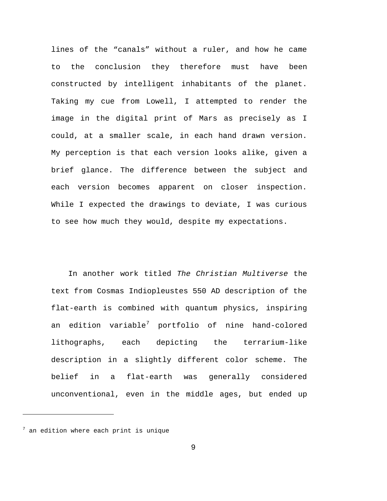lines of the "canals" without a ruler, and how he came to the conclusion they therefore must have been constructed by intelligent inhabitants of the planet. Taking my cue from Lowell, I attempted to render the image in the digital print of Mars as precisely as I could, at a smaller scale, in each hand drawn version. My perception is that each version looks alike, given a brief glance. The difference between the subject and each version becomes apparent on closer inspection. While I expected the drawings to deviate, I was curious to see how much they would, despite my expectations.

In another work titled *The Christian Multiverse* the text from Cosmas Indiopleustes 550 AD description of the flat-earth is combined with quantum physics, inspiring an edition variable[7](#page-11-0) portfolio of nine hand-colored lithographs, each depicting the terrarium-like description in a slightly different color scheme. The belief in a flat-earth was generally considered unconventional, even in the middle ages, but ended up

<span id="page-11-0"></span> $7$  an edition where each print is unique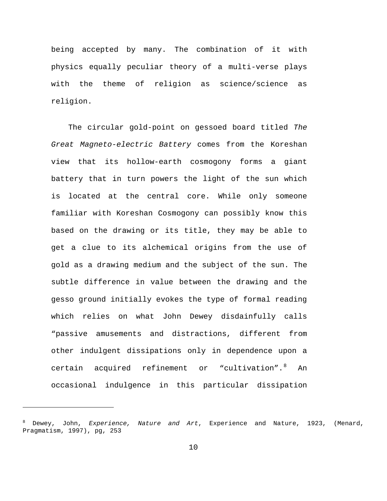being accepted by many. The combination of it with physics equally peculiar theory of a multi-verse plays with the theme of religion as science/science as religion.

The circular gold-point on gessoed board titled *The Great Magneto-electric Battery* comes from the Koreshan view that its hollow-earth cosmogony forms a giant battery that in turn powers the light of the sun which is located at the central core. While only someone familiar with Koreshan Cosmogony can possibly know this based on the drawing or its title, they may be able to get a clue to its alchemical origins from the use of gold as a drawing medium and the subject of the sun. The subtle difference in value between the drawing and the gesso ground initially evokes the type of formal reading which relies on what John Dewey disdainfully calls "passive amusements and distractions, different from other indulgent dissipations only in dependence upon a certain acquired refinement or "cultivation".<sup>[8](#page-12-0)</sup> An occasional indulgence in this particular dissipation

<span id="page-12-0"></span><sup>8</sup> Dewey, John, *Experience, Nature and Art*, Experience and Nature, 1923, (Menard, Pragmatism, 1997), pg, 253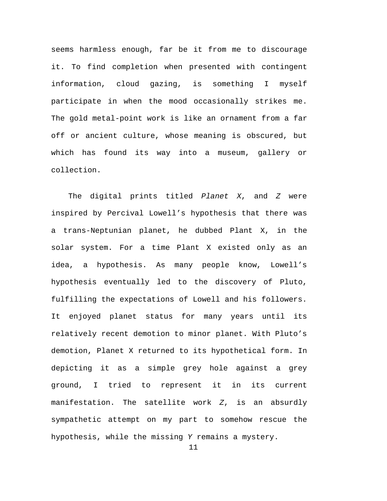seems harmless enough, far be it from me to discourage it. To find completion when presented with contingent information, cloud gazing, is something I myself participate in when the mood occasionally strikes me. The gold metal-point work is like an ornament from a far off or ancient culture, whose meaning is obscured, but which has found its way into a museum, gallery or collection.

The digital prints titled *Planet X*, and *Z* were inspired by Percival Lowell's hypothesis that there was a trans-Neptunian planet, he dubbed Plant X, in the solar system. For a time Plant X existed only as an idea, a hypothesis. As many people know, Lowell's hypothesis eventually led to the discovery of Pluto, fulfilling the expectations of Lowell and his followers. It enjoyed planet status for many years until its relatively recent demotion to minor planet. With Pluto's demotion, Planet X returned to its hypothetical form. In depicting it as a simple grey hole against a grey ground, I tried to represent it in its current manifestation. The satellite work *Z*, is an absurdly sympathetic attempt on my part to somehow rescue the hypothesis, while the missing *Y* remains a mystery.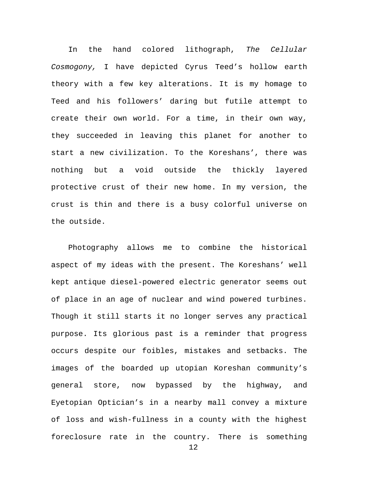In the hand colored lithograph, *The Cellular Cosmogony,* I have depicted Cyrus Teed's hollow earth theory with a few key alterations. It is my homage to Teed and his followers' daring but futile attempt to create their own world. For a time, in their own way, they succeeded in leaving this planet for another to start a new civilization. To the Koreshans', there was nothing but a void outside the thickly layered protective crust of their new home. In my version, the crust is thin and there is a busy colorful universe on the outside.

Photography allows me to combine the historical aspect of my ideas with the present. The Koreshans' well kept antique diesel-powered electric generator seems out of place in an age of nuclear and wind powered turbines. Though it still starts it no longer serves any practical purpose. Its glorious past is a reminder that progress occurs despite our foibles, mistakes and setbacks. The images of the boarded up utopian Koreshan community's general store, now bypassed by the highway, and Eyetopian Optician's in a nearby mall convey a mixture of loss and wish-fullness in a county with the highest foreclosure rate in the country. There is something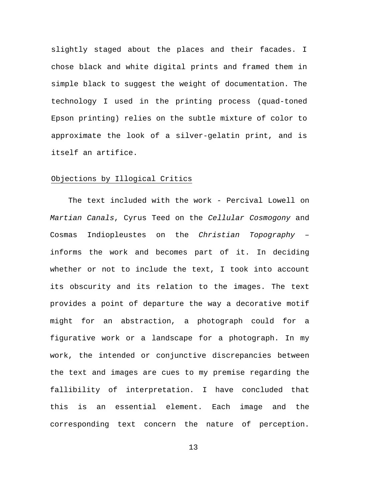slightly staged about the places and their facades. I chose black and white digital prints and framed them in simple black to suggest the weight of documentation. The technology I used in the printing process (quad-toned Epson printing) relies on the subtle mixture of color to approximate the look of a silver-gelatin print, and is itself an artifice.

#### <span id="page-15-0"></span>Objections by Illogical Critics

The text included with the work - Percival Lowell on *Martian Canals*, Cyrus Teed on the *Cellular Cosmogony* and Cosmas Indiopleustes on the *Christian Topography* – informs the work and becomes part of it. In deciding whether or not to include the text, I took into account its obscurity and its relation to the images. The text provides a point of departure the way a decorative motif might for an abstraction, a photograph could for a figurative work or a landscape for a photograph. In my work, the intended or conjunctive discrepancies between the text and images are cues to my premise regarding the fallibility of interpretation. I have concluded that this is an essential element. Each image and the corresponding text concern the nature of perception.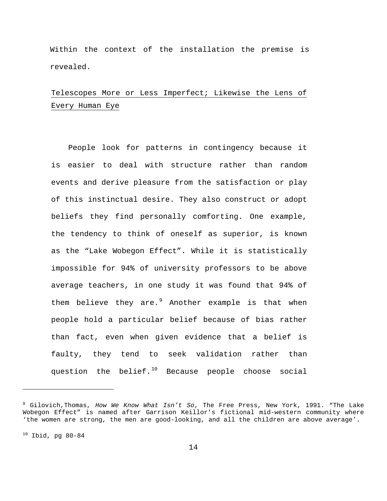Within the context of the installation the premise is revealed.

## <span id="page-16-0"></span>Telescopes More or Less Imperfect; Likewise the Lens of Every Human Eye

People look for patterns in contingency because it is easier to deal with structure rather than random events and derive pleasure from the satisfaction or play of this instinctual desire. They also construct or adopt beliefs they find personally comforting. One example, the tendency to think of oneself as superior, is known as the "Lake Wobegon Effect". While it is statistically impossible for 94% of university professors to be above average teachers, in one study it was found that 94% of them believe they are. $9$  Another example is that when people hold a particular belief because of bias rather than fact, even when given evidence that a belief is faulty, they tend to seek validation rather than question the belief.<sup>[10](#page-16-2)</sup> Because people choose social

<span id="page-16-2"></span> $10$  Ibid, pg 80-84

<span id="page-16-1"></span><sup>9</sup> Gilovich,Thomas, *How We Know What Isn't So*, The Free Press, New York, 1991. "The Lake Wobegon Effect" is named after Garrison Keillor's fictional mid-western community where 'the women are strong, the men are good-looking, and all the children are above average'.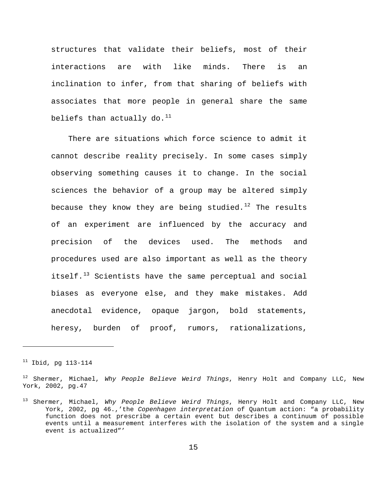structures that validate their beliefs, most of their interactions are with like minds. There is an inclination to infer, from that sharing of beliefs with associates that more people in general share the same beliefs than actually do. $^\mathrm{11}$  $^\mathrm{11}$  $^\mathrm{11}$ 

There are situations which force science to admit it cannot describe reality precisely. In some cases simply observing something causes it to change. In the social sciences the behavior of a group may be altered simply because they know they are being studied. [12](#page-17-1) The results of an experiment are influenced by the accuracy and precision of the devices used. The methods and procedures used are also important as well as the theory itself.[13](#page-17-2) Scientists have the same perceptual and social biases as everyone else, and they make mistakes. Add anecdotal evidence, opaque jargon, bold statements, heresy, burden of proof, rumors, rationalizations,

<span id="page-17-0"></span> $11$  Ibid, pg 113-114

Ĩ.

<span id="page-17-1"></span><sup>12</sup> Shermer, Michael, *Why People Believe Weird Things*, Henry Holt and Company LLC, New York, 2002, pg.47

<span id="page-17-2"></span><sup>13</sup> Shermer, Michael, *Why People Believe Weird Things*, Henry Holt and Company LLC, New York, 2002, pg 46.,'the *Copenhagen interpretation* of Quantum action: "a probability function does not prescribe a certain event but describes a continuum of possible events until a measurement interferes with the isolation of the system and a single event is actualized"'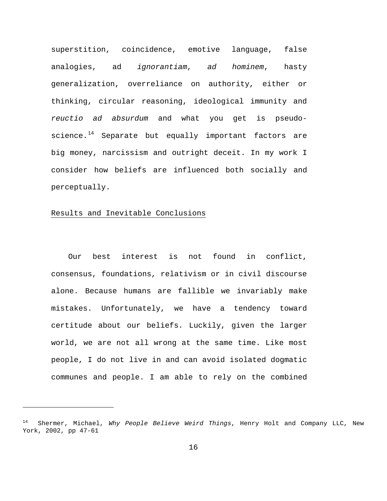superstition, coincidence, emotive language, false analogies, ad *ignorantiam*, *ad hominem*, hasty generalization, overreliance on authority, either or thinking, circular reasoning, ideological immunity and *reuctio ad absurdum* and what you get is pseudoscience.[14](#page-18-1) Separate but equally important factors are big money, narcissism and outright deceit. In my work I consider how beliefs are influenced both socially and perceptually.

#### <span id="page-18-0"></span>Results and Inevitable Conclusions

Ĩ.

Our best interest is not found in conflict, consensus, foundations, relativism or in civil discourse alone. Because humans are fallible we invariably make mistakes. Unfortunately, we have a tendency toward certitude about our beliefs. Luckily, given the larger world, we are not all wrong at the same time. Like most people, I do not live in and can avoid isolated dogmatic communes and people. I am able to rely on the combined

<span id="page-18-1"></span><sup>14</sup> Shermer, Michael, *Why People Believe Weird Things*, Henry Holt and Company LLC, New York, 2002, pp 47-61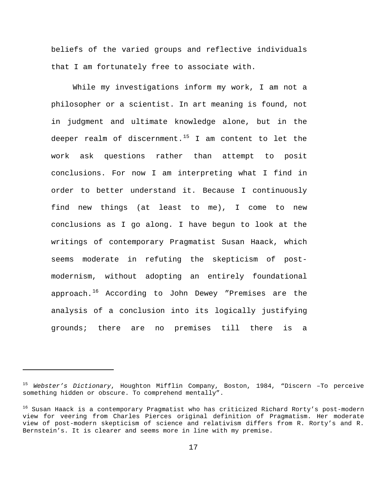beliefs of the varied groups and reflective individuals that I am fortunately free to associate with.

While my investigations inform my work, I am not a philosopher or a scientist. In art meaning is found, not in judgment and ultimate knowledge alone, but in the deeper realm of discernment.<sup>[15](#page-19-0)</sup> I am content to let the work ask questions rather than attempt to posit conclusions. For now I am interpreting what I find in order to better understand it. Because I continuously find new things (at least to me), I come to new conclusions as I go along. I have begun to look at the writings of contemporary Pragmatist Susan Haack, which seems moderate in refuting the skepticism of postmodernism, without adopting an entirely foundational approach.[16](#page-19-1) According to John Dewey "Premises are the analysis of a conclusion into its logically justifying grounds; there are no premises till there is a

<span id="page-19-0"></span><sup>15</sup> *Webster's Dictionary*, Houghton Mifflin Company, Boston, 1984, "Discern –To perceive something hidden or obscure. To comprehend mentally".

<span id="page-19-1"></span><sup>16</sup> Susan Haack is a contemporary Pragmatist who has criticized Richard Rorty's post-modern view for veering from Charles Pierces original definition of Pragmatism. Her moderate view of post-modern skepticism of science and relativism differs from R. Rorty's and R. Bernstein's. It is clearer and seems more in line with my premise.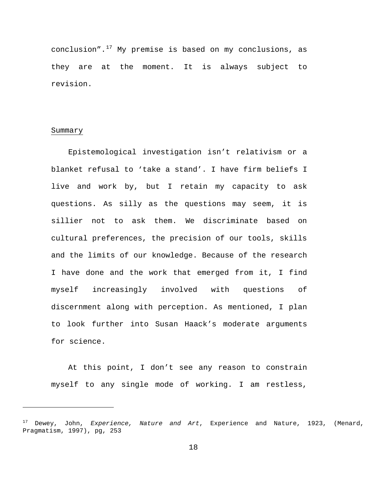conclusion". $17$  My premise is based on my conclusions, as they are at the moment. It is always subject to revision.

#### <span id="page-20-0"></span>Summary

Ĩ.

Epistemological investigation isn't relativism or a blanket refusal to 'take a stand'. I have firm beliefs I live and work by, but I retain my capacity to ask questions. As silly as the questions may seem, it is sillier not to ask them. We discriminate based on cultural preferences, the precision of our tools, skills and the limits of our knowledge. Because of the research I have done and the work that emerged from it, I find myself increasingly involved with questions of discernment along with perception. As mentioned, I plan to look further into Susan Haack's moderate arguments for science.

At this point, I don't see any reason to constrain myself to any single mode of working. I am restless,

<span id="page-20-1"></span><sup>17</sup> Dewey, John, *Experience, Nature and Art*, Experience and Nature, 1923, (Menard, Pragmatism, 1997), pg, 253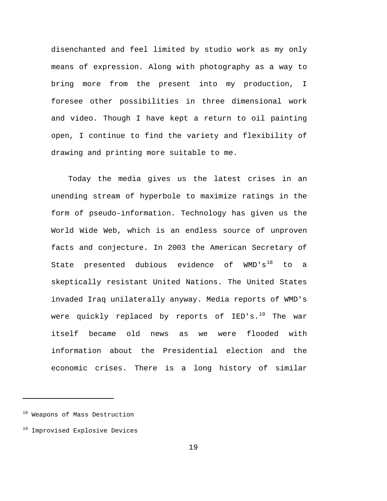disenchanted and feel limited by studio work as my only means of expression. Along with photography as a way to bring more from the present into my production, I foresee other possibilities in three dimensional work and video. Though I have kept a return to oil painting open, I continue to find the variety and flexibility of drawing and printing more suitable to me.

Today the media gives us the latest crises in an unending stream of hyperbole to maximize ratings in the form of pseudo-information. Technology has given us the World Wide Web, which is an endless source of unproven facts and conjecture. In 2003 the American Secretary of State presented dubious evidence of  $WMD'S^{18}$  $WMD'S^{18}$  $WMD'S^{18}$  to a skeptically resistant United Nations. The United States invaded Iraq unilaterally anyway. Media reports of WMD's were quickly replaced by reports of IED's.<sup>[19](#page-21-1)</sup> The war itself became old news as we were flooded with information about the Presidential election and the economic crises. There is a long history of similar

<span id="page-21-0"></span><sup>18</sup> Weapons of Mass Destruction

<span id="page-21-1"></span><sup>&</sup>lt;sup>19</sup> Improvised Explosive Devices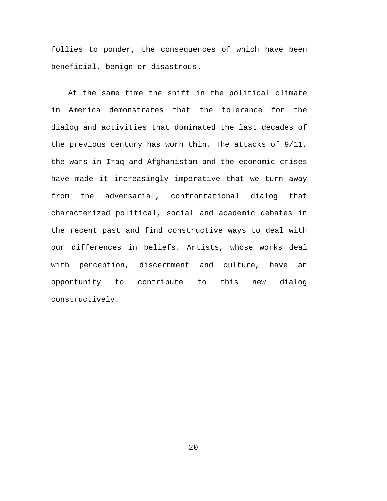follies to ponder, the consequences of which have been beneficial, benign or disastrous.

At the same time the shift in the political climate in America demonstrates that the tolerance for the dialog and activities that dominated the last decades of the previous century has worn thin. The attacks of 9/11, the wars in Iraq and Afghanistan and the economic crises have made it increasingly imperative that we turn away from the adversarial, confrontational dialog that characterized political, social and academic debates in the recent past and find constructive ways to deal with our differences in beliefs. Artists, whose works deal with perception, discernment and culture, have an opportunity to contribute to this new dialog constructively.